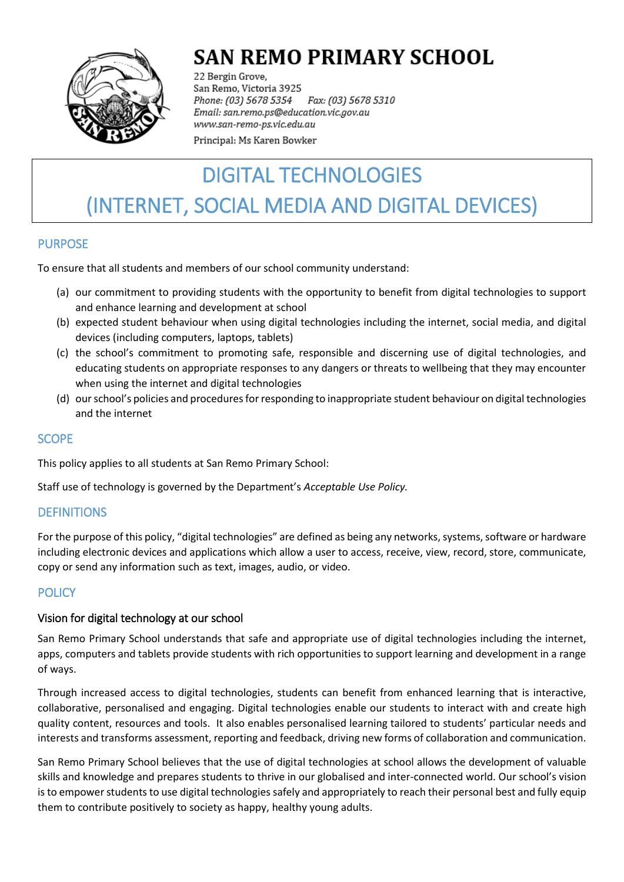

## **SAN REMO PRIMARY SCHOOL**

22 Bergin Grove, San Remo, Victoria 3925 Fax: (03) 5678 5310 Phone: (03) 5678 5354 Email: san.remo.ps@education.vic.gov.au www.san-remo-ps.vic.edu.au

Principal: Ms Karen Bowker

# DIGITAL TECHNOLOGIES (INTERNET, SOCIAL MEDIA AND DIGITAL DEVICES)

## PURPOSE

To ensure that all students and members of our school community understand:

- (a) our commitment to providing students with the opportunity to benefit from digital technologies to support and enhance learning and development at school
- (b) expected student behaviour when using digital technologies including the internet, social media, and digital devices (including computers, laptops, tablets)
- (c) the school's commitment to promoting safe, responsible and discerning use of digital technologies, and educating students on appropriate responses to any dangers or threats to wellbeing that they may encounter when using the internet and digital technologies
- (d) our school's policies and procedures for responding to inappropriate student behaviour on digital technologies and the internet

#### **SCOPE**

This policy applies to all students at San Remo Primary School:

Staff use of technology is governed by the Department's *Acceptable Use Policy.*

## **DEFINITIONS**

For the purpose of this policy, "digital technologies" are defined as being any networks, systems, software or hardware including electronic devices and applications which allow a user to access, receive, view, record, store, communicate, copy or send any information such as text, images, audio, or video.

## **POLICY**

## Vision for digital technology at our school

San Remo Primary School understands that safe and appropriate use of digital technologies including the internet, apps, computers and tablets provide students with rich opportunities to support learning and development in a range of ways.

Through increased access to digital technologies, students can benefit from enhanced learning that is interactive, collaborative, personalised and engaging. Digital technologies enable our students to interact with and create high quality content, resources and tools. It also enables personalised learning tailored to students' particular needs and interests and transforms assessment, reporting and feedback, driving new forms of collaboration and communication.

San Remo Primary School believes that the use of digital technologies at school allows the development of valuable skills and knowledge and prepares students to thrive in our globalised and inter-connected world. Our school's vision is to empower students to use digital technologies safely and appropriately to reach their personal best and fully equip them to contribute positively to society as happy, healthy young adults.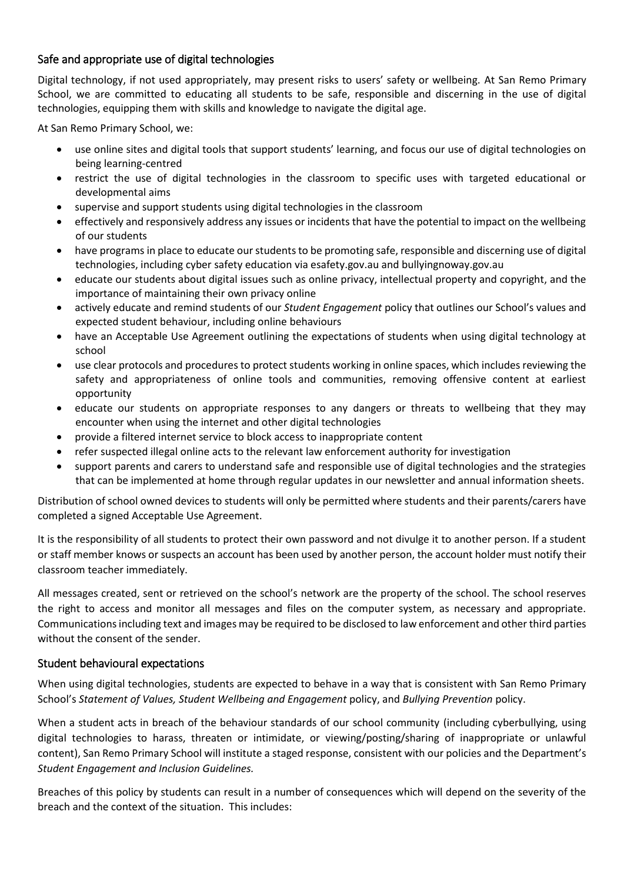## Safe and appropriate use of digital technologies

Digital technology, if not used appropriately, may present risks to users' safety or wellbeing. At San Remo Primary School, we are committed to educating all students to be safe, responsible and discerning in the use of digital technologies, equipping them with skills and knowledge to navigate the digital age.

At San Remo Primary School, we:

- use online sites and digital tools that support students' learning, and focus our use of digital technologies on being learning-centred
- restrict the use of digital technologies in the classroom to specific uses with targeted educational or developmental aims
- supervise and support students using digital technologies in the classroom
- effectively and responsively address any issues or incidents that have the potential to impact on the wellbeing of our students
- have programs in place to educate our students to be promoting safe, responsible and discerning use of digital technologies, including cyber safety education via esafety.gov.au and bullyingnoway.gov.au
- educate our students about digital issues such as online privacy, intellectual property and copyright, and the importance of maintaining their own privacy online
- actively educate and remind students of our *Student Engagement* policy that outlines our School's values and expected student behaviour, including online behaviours
- have an Acceptable Use Agreement outlining the expectations of students when using digital technology at school
- use clear protocols and procedures to protect students working in online spaces, which includes reviewing the safety and appropriateness of online tools and communities, removing offensive content at earliest opportunity
- educate our students on appropriate responses to any dangers or threats to wellbeing that they may encounter when using the internet and other digital technologies
- provide a filtered internet service to block access to inappropriate content
- refer suspected illegal online acts to the relevant law enforcement authority for investigation
- support parents and carers to understand safe and responsible use of digital technologies and the strategies that can be implemented at home through regular updates in our newsletter and annual information sheets.

Distribution of school owned devices to students will only be permitted where students and their parents/carers have completed a signed Acceptable Use Agreement.

It is the responsibility of all students to protect their own password and not divulge it to another person. If a student or staff member knows or suspects an account has been used by another person, the account holder must notify their classroom teacher immediately.

All messages created, sent or retrieved on the school's network are the property of the school. The school reserves the right to access and monitor all messages and files on the computer system, as necessary and appropriate. Communications including text and images may be required to be disclosed to law enforcement and other third parties without the consent of the sender.

#### Student behavioural expectations

When using digital technologies, students are expected to behave in a way that is consistent with San Remo Primary School's *Statement of Values, Student Wellbeing and Engagement* policy, and *Bullying Prevention* policy.

When a student acts in breach of the behaviour standards of our school community (including cyberbullying, using digital technologies to harass, threaten or intimidate, or viewing/posting/sharing of inappropriate or unlawful content), San Remo Primary School will institute a staged response, consistent with our policies and the Department's *Student Engagement and Inclusion Guidelines.*

Breaches of this policy by students can result in a number of consequences which will depend on the severity of the breach and the context of the situation. This includes: